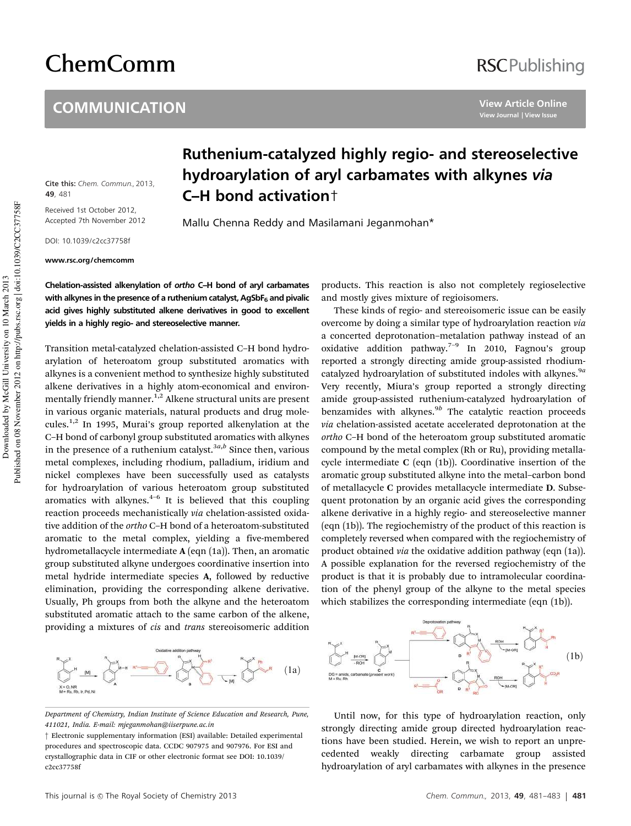# ChemComm

#### **COMMUNICATION**

## **RSCPublishing**

**View Article Online View Journal | View Issue**

Cite this: Chem. Commun., 2013, **49**, 481

Received 1st October 2012, Accepted 7th November 2012

DOI: 10.1039/c2cc37758f

www.rsc.org/chemcomm

### Ruthenium-catalyzed highly regio- and stereoselective hydroarylation of aryl carbamates with alkynes via C–H bond activation†

Mallu Chenna Reddy and Masilamani Jeganmohan\*

Chelation-assisted alkenylation of ortho C–H bond of aryl carbamates with alkynes in the presence of a ruthenium catalyst, AgSbF $_6$  and pivalic acid gives highly substituted alkene derivatives in good to excellent yields in a highly regio- and stereoselective manner.

Transition metal-catalyzed chelation-assisted C–H bond hydroarylation of heteroatom group substituted aromatics with alkynes is a convenient method to synthesize highly substituted alkene derivatives in a highly atom-economical and environmentally friendly manner.<sup>1,2</sup> Alkene structural units are present in various organic materials, natural products and drug molecules.1,2 In 1995, Murai's group reported alkenylation at the C–H bond of carbonyl group substituted aromatics with alkynes in the presence of a ruthenium catalyst.<sup>3a,b</sup> Since then, various metal complexes, including rhodium, palladium, iridium and nickel complexes have been successfully used as catalysts for hydroarylation of various heteroatom group substituted aromatics with alkynes. $4-6$  It is believed that this coupling reaction proceeds mechanistically *via* chelation-assisted oxidative addition of the *ortho* C–H bond of a heteroatom-substituted aromatic to the metal complex, yielding a five-membered hydrometallacycle intermediate A (eqn (1a)). Then, an aromatic group substituted alkyne undergoes coordinative insertion into metal hydride intermediate species A, followed by reductive elimination, providing the corresponding alkene derivative. Usually, Ph groups from both the alkyne and the heteroatom substituted aromatic attach to the same carbon of the alkene, providing a mixtures of *cis* and *trans* stereoisomeric addition



*Department of Chemistry, Indian Institute of Science Education and Research, Pune, 411021, India. E-mail: mjeganmohan@iiserpune.ac.in*

products. This reaction is also not completely regioselective and mostly gives mixture of regioisomers.

These kinds of regio- and stereoisomeric issue can be easily overcome by doing a similar type of hydroarylation reaction *via* a concerted deprotonation–metalation pathway instead of an oxidative addition pathway.<sup>7-9</sup> In 2010, Fagnou's group reported a strongly directing amide group-assisted rhodiumcatalyzed hydroarylation of substituted indoles with alkynes.9*<sup>a</sup>* Very recently, Miura's group reported a strongly directing amide group-assisted ruthenium-catalyzed hydroarylation of benzamides with alkynes.<sup>9b</sup> The catalytic reaction proceeds *via* chelation-assisted acetate accelerated deprotonation at the *ortho* C–H bond of the heteroatom group substituted aromatic compound by the metal complex (Rh or Ru), providing metallacycle intermediate C (eqn (1b)). Coordinative insertion of the aromatic group substituted alkyne into the metal–carbon bond of metallacycle C provides metallacycle intermediate D. Subsequent protonation by an organic acid gives the corresponding alkene derivative in a highly regio- and stereoselective manner (eqn (1b)). The regiochemistry of the product of this reaction is completely reversed when compared with the regiochemistry of product obtained *via* the oxidative addition pathway (eqn (1a)). A possible explanation for the reversed regiochemistry of the product is that it is probably due to intramolecular coordination of the phenyl group of the alkyne to the metal species which stabilizes the corresponding intermediate (eqn (1b)).



Until now, for this type of hydroarylation reaction, only strongly directing amide group directed hydroarylation reactions have been studied. Herein, we wish to report an unprecedented weakly directing carbamate group assisted hydroarylation of aryl carbamates with alkynes in the presence

<sup>†</sup> Electronic supplementary information (ESI) available: Detailed experimental procedures and spectroscopic data. CCDC 907975 and 907976. For ESI and crystallographic data in CIF or other electronic format see DOI: 10.1039/ c2cc37758f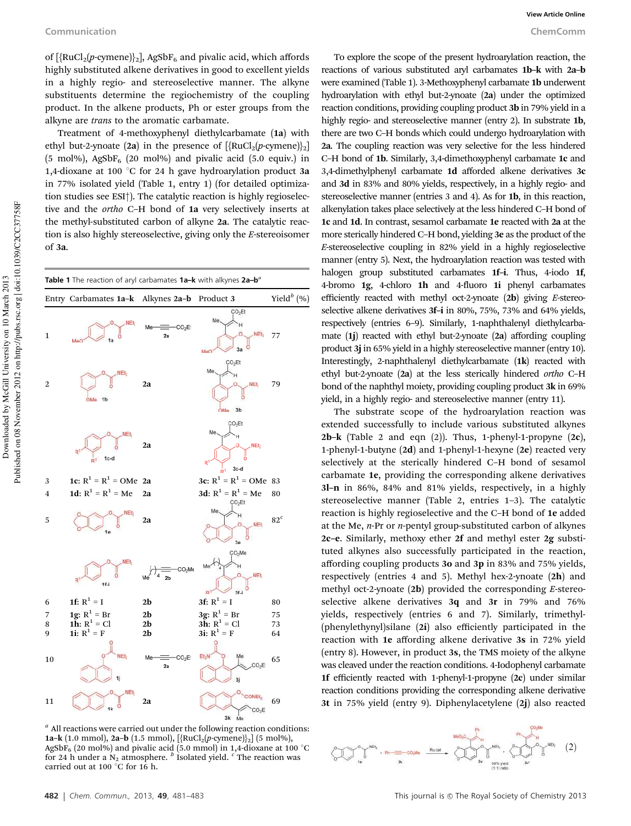of  $[\{RuCl_2(p\text{-cymene})\}_2]$ , AgSbF<sub>6</sub> and pivalic acid, which affords highly substituted alkene derivatives in good to excellent yields in a highly regio- and stereoselective manner. The alkyne substituents determine the regiochemistry of the coupling product. In the alkene products, Ph or ester groups from the alkyne are *trans* to the aromatic carbamate.

Treatment of 4-methoxyphenyl diethylcarbamate (1a) with ethyl but-2-ynoate (2a) in the presence of  $[\text{RuCl}_2(p\text{-}c$  cymene) $]_2$ (5 mol%), AgSbF<sub>6</sub> (20 mol%) and pivalic acid (5.0 equiv.) in 1,4-dioxane at 100  $^{\circ}$ C for 24 h gave hydroarylation product 3a in 77% isolated yield (Table 1, entry 1) (for detailed optimization studies see ESI†). The catalytic reaction is highly regioselective and the *ortho* C–H bond of 1a very selectively inserts at the methyl-substituted carbon of alkyne 2a. The catalytic reaction is also highly stereoselective, giving only the *E*-stereoisomer of 3a.



*a* All reactions were carried out under the following reaction conditions: 1a-k (1.0 mmol), 2a-b (1.5 mmol),  $[\text{RuCl}_2(p\text{-symene})]_2]$  (5 mol%), AgSbF<sub>6</sub> (20 mol%) and pivalic acid (5.0 mmol) in 1,4-dioxane at 100 °C for 24 h under a  $N_2$  atmosphere. <sup>*b*</sup> Isolated yield. <sup>*c*</sup> The reaction was carried out at 100  $\degree$ C for 16 h.

To explore the scope of the present hydroarylation reaction, the reactions of various substituted aryl carbamates 1b–k with 2a–b were examined (Table 1). 3-Methoxyphenyl carbamate 1b underwent hydroarylation with ethyl but-2-ynoate (2a) under the optimized reaction conditions, providing coupling product 3b in 79% yield in a highly regio- and stereoselective manner (entry 2). In substrate 1b, there are two C–H bonds which could undergo hydroarylation with 2a. The coupling reaction was very selective for the less hindered C–H bond of 1b. Similarly, 3,4-dimethoxyphenyl carbamate 1c and 3,4-dimethylphenyl carbamate 1d afforded alkene derivatives 3c and 3d in 83% and 80% yields, respectively, in a highly regio- and stereoselective manner (entries 3 and 4). As for 1b, in this reaction, alkenylation takes place selectively at the less hindered C–H bond of 1c and 1d. In contrast, sesamol carbamate 1e reacted with 2a at the more sterically hindered C–H bond, yielding 3e as the product of the *E*-stereoselective coupling in 82% yield in a highly regioselective manner (entry 5). Next, the hydroarylation reaction was tested with halogen group substituted carbamates 1f-i. Thus, 4-iodo 1f, 4-bromo 1g, 4-chloro 1h and 4-fluoro 1i phenyl carbamates efficiently reacted with methyl oct-2-ynoate (2b) giving *E*-stereoselective alkene derivatives 3f–i in 80%, 75%, 73% and 64% yields, respectively (entries 6–9). Similarly, 1-naphthalenyl diethylcarbamate (1j) reacted with ethyl but-2-ynoate (2a) affording coupling product 3j in 65% yield in a highly stereoselective manner (entry 10). Interestingly, 2-naphthalenyl diethylcarbamate (1k) reacted with ethyl but-2-ynoate (2a) at the less sterically hindered *ortho* C–H bond of the naphthyl moiety, providing coupling product 3k in 69% yield, in a highly regio- and stereoselective manner (entry 11).

The substrate scope of the hydroarylation reaction was extended successfully to include various substituted alkynes 2b–k (Table 2 and eqn  $(2)$ ). Thus, 1-phenyl-1-propyne  $(2c)$ , 1-phenyl-1-butyne (2d) and 1-phenyl-1-hexyne (2e) reacted very selectively at the sterically hindered C–H bond of sesamol carbamate 1e, providing the corresponding alkene derivatives 3l–n in 86%, 84% and 81% yields, respectively, in a highly stereoselective manner (Table 2, entries 1–3). The catalytic reaction is highly regioselective and the C–H bond of 1e added at the Me, *n*-Pr or *n*-pentyl group-substituted carbon of alkynes 2c–e. Similarly, methoxy ether 2f and methyl ester 2g substituted alkynes also successfully participated in the reaction, affording coupling products 3o and 3p in 83% and 75% yields, respectively (entries 4 and 5). Methyl hex-2-ynoate (2h) and methyl oct-2-ynoate (2b) provided the corresponding *E*-stereoselective alkene derivatives 3q and 3r in 79% and 76% yields, respectively (entries 6 and 7). Similarly, trimethyl- (phenylethynyl)silane (2i) also efficiently participated in the reaction with 1e affording alkene derivative 3s in 72% yield (entry 8). However, in product 3s, the TMS moiety of the alkyne was cleaved under the reaction conditions. 4-Iodophenyl carbamate 1f efficiently reacted with 1-phenyl-1-propyne (2c) under similar reaction conditions providing the corresponding alkene derivative 3t in 75% yield (entry 9). Diphenylacetylene (2j) also reacted